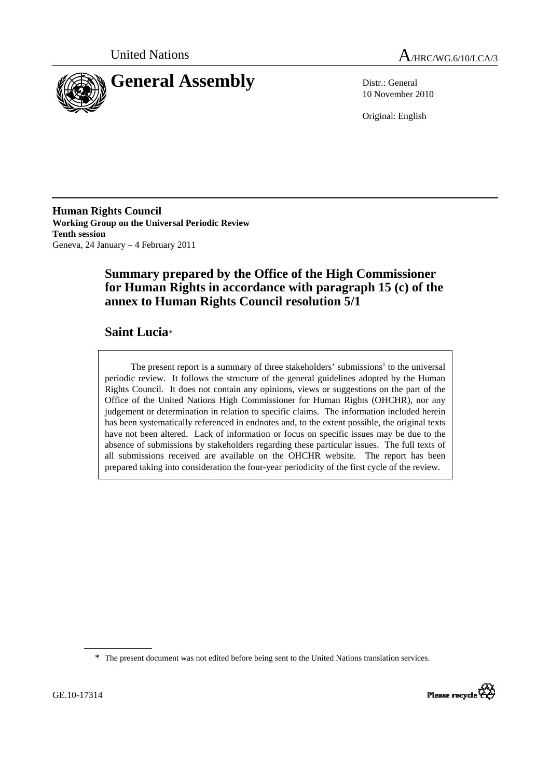



10 November 2010

Original: English

**Human Rights Council Working Group on the Universal Periodic Review Tenth session**  Geneva, 24 January – 4 February 2011

# **Summary prepared by the Office of the High Commissioner for Human Rights in accordance with paragraph 15 (c) of the annex to Human Rights Council resolution 5/1**

### **Saint Lucia**\*

The present report is a summary of three stakeholders' submissions<sup>1</sup> to the universal periodic review. It follows the structure of the general guidelines adopted by the Human Rights Council. It does not contain any opinions, views or suggestions on the part of the Office of the United Nations High Commissioner for Human Rights (OHCHR), nor any judgement or determination in relation to specific claims. The information included herein has been systematically referenced in endnotes and, to the extent possible, the original texts have not been altered. Lack of information or focus on specific issues may be due to the absence of submissions by stakeholders regarding these particular issues. The full texts of all submissions received are available on the OHCHR website. The report has been prepared taking into consideration the four-year periodicity of the first cycle of the review.

<sup>\*</sup> The present document was not edited before being sent to the United Nations translation services.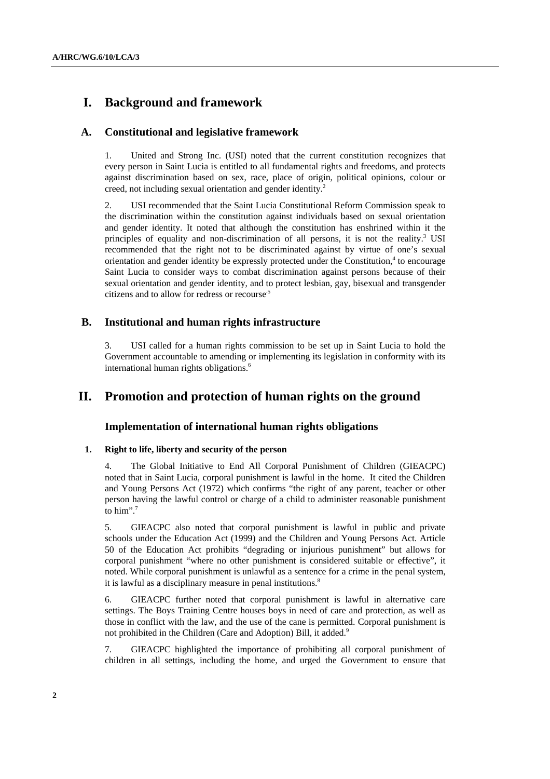### **I. Background and framework**

### **A. Constitutional and legislative framework**

1. United and Strong Inc. (USI) noted that the current constitution recognizes that every person in Saint Lucia is entitled to all fundamental rights and freedoms, and protects against discrimination based on sex, race, place of origin, political opinions, colour or creed, not including sexual orientation and gender identity.2

2. USI recommended that the Saint Lucia Constitutional Reform Commission speak to the discrimination within the constitution against individuals based on sexual orientation and gender identity. It noted that although the constitution has enshrined within it the principles of equality and non-discrimination of all persons, it is not the reality.<sup>3</sup> USI recommended that the right not to be discriminated against by virtue of one's sexual orientation and gender identity be expressly protected under the Constitution,<sup>4</sup> to encourage Saint Lucia to consider ways to combat discrimination against persons because of their sexual orientation and gender identity, and to protect lesbian, gay, bisexual and transgender citizens and to allow for redress or recourse.5

### **B. Institutional and human rights infrastructure**

3. USI called for a human rights commission to be set up in Saint Lucia to hold the Government accountable to amending or implementing its legislation in conformity with its international human rights obligations.<sup>6</sup>

### **II. Promotion and protection of human rights on the ground**

### **Implementation of international human rights obligations**

#### **1. Right to life, liberty and security of the person**

4. The Global Initiative to End All Corporal Punishment of Children (GIEACPC) noted that in Saint Lucia, corporal punishment is lawful in the home. It cited the Children and Young Persons Act (1972) which confirms "the right of any parent, teacher or other person having the lawful control or charge of a child to administer reasonable punishment to him".<sup>7</sup>

5. GIEACPC also noted that corporal punishment is lawful in public and private schools under the Education Act (1999) and the Children and Young Persons Act. Article 50 of the Education Act prohibits "degrading or injurious punishment" but allows for corporal punishment "where no other punishment is considered suitable or effective", it noted. While corporal punishment is unlawful as a sentence for a crime in the penal system, it is lawful as a disciplinary measure in penal institutions.<sup>8</sup>

6. GIEACPC further noted that corporal punishment is lawful in alternative care settings. The Boys Training Centre houses boys in need of care and protection, as well as those in conflict with the law, and the use of the cane is permitted. Corporal punishment is not prohibited in the Children (Care and Adoption) Bill, it added.<sup>9</sup>

7. GIEACPC highlighted the importance of prohibiting all corporal punishment of children in all settings, including the home, and urged the Government to ensure that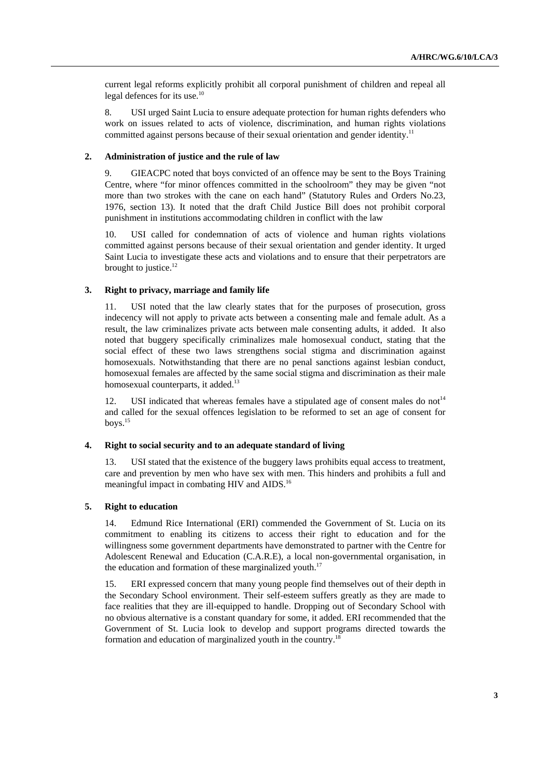current legal reforms explicitly prohibit all corporal punishment of children and repeal all legal defences for its use.<sup>10</sup>

8. USI urged Saint Lucia to ensure adequate protection for human rights defenders who work on issues related to acts of violence, discrimination, and human rights violations committed against persons because of their sexual orientation and gender identity.<sup>11</sup>

#### **2. Administration of justice and the rule of law**

9. GIEACPC noted that boys convicted of an offence may be sent to the Boys Training Centre, where "for minor offences committed in the schoolroom" they may be given "not more than two strokes with the cane on each hand" (Statutory Rules and Orders No.23, 1976, section 13). It noted that the draft Child Justice Bill does not prohibit corporal punishment in institutions accommodating children in conflict with the law

10. USI called for condemnation of acts of violence and human rights violations committed against persons because of their sexual orientation and gender identity. It urged Saint Lucia to investigate these acts and violations and to ensure that their perpetrators are brought to justice.<sup>12</sup>

#### **3. Right to privacy, marriage and family life**

11. USI noted that the law clearly states that for the purposes of prosecution, gross indecency will not apply to private acts between a consenting male and female adult. As a result, the law criminalizes private acts between male consenting adults, it added. It also noted that buggery specifically criminalizes male homosexual conduct, stating that the social effect of these two laws strengthens social stigma and discrimination against homosexuals. Notwithstanding that there are no penal sanctions against lesbian conduct, homosexual females are affected by the same social stigma and discrimination as their male homosexual counterparts, it added.<sup>13</sup>

12. USI indicated that whereas females have a stipulated age of consent males do not<sup>14</sup> and called for the sexual offences legislation to be reformed to set an age of consent for boys. $15$ 

#### **4. Right to social security and to an adequate standard of living**

13. USI stated that the existence of the buggery laws prohibits equal access to treatment, care and prevention by men who have sex with men. This hinders and prohibits a full and meaningful impact in combating HIV and AIDS.16

#### **5. Right to education**

14. Edmund Rice International (ERI) commended the Government of St. Lucia on its commitment to enabling its citizens to access their right to education and for the willingness some government departments have demonstrated to partner with the Centre for Adolescent Renewal and Education (C.A.R.E), a local non-governmental organisation, in the education and formation of these marginalized youth.<sup>17</sup>

15. ERI expressed concern that many young people find themselves out of their depth in the Secondary School environment. Their self-esteem suffers greatly as they are made to face realities that they are ill-equipped to handle. Dropping out of Secondary School with no obvious alternative is a constant quandary for some, it added. ERI recommended that the Government of St. Lucia look to develop and support programs directed towards the formation and education of marginalized youth in the country.18